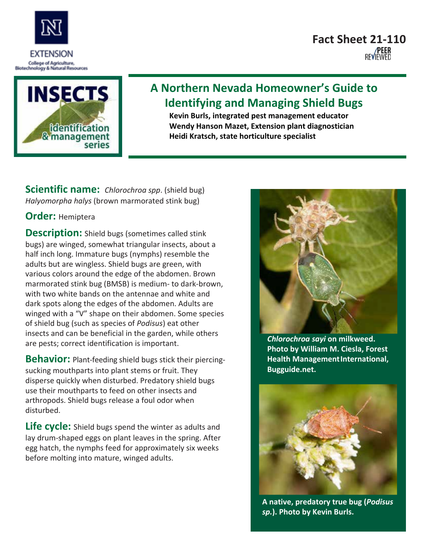



## **A Northern Nevada Homeowner's Guide to Identifying and Managing Shield Bugs**

**Kevin Burls, integrated pest management educator Wendy Hanson Mazet, Extension plant diagnostician Heidi Kratsch, state horticulture specialist**

**Scientific name:** *Chlorochroa spp*. (shield bug) *Halyomorpha halys* (brown marmorated stink bug)

## **Order:** Hemiptera

**Description:** Shield bugs (sometimes called stink bugs) are winged, somewhat triangular insects, about a half inch long. Immature bugs (nymphs) resemble the adults but are wingless. Shield bugs are green, with various colors around the edge of the abdomen. Brown marmorated stink bug (BMSB) is medium- to dark-brown, with two white bands on the antennae and white and dark spots along the edges of the abdomen. Adults are winged with a "V" shape on their abdomen. Some species of shield bug (such as species of *Podisus*) eat other insects and can be beneficial in the garden, while others are pests; correct identification is important.

**Behavior:** Plant-feeding shield bugs stick their piercingsucking mouthparts into plant stems or fruit. They disperse quickly when disturbed. Predatory shield bugs use their mouthparts to feed on other insects and arthropods. Shield bugs release a foul odor when disturbed.

**Life cycle:** Shield bugs spend the winter as adults and lay drum-shaped eggs on plant leaves in the spring. After egg hatch, the nymphs feed for approximately six weeks before molting into mature, winged adults.



*Chlorochroa sayi* **on milkweed. Photo by William M. Ciesla, Forest Health ManagementInternational, Bugguide.net.**



**A native, predatory true bug (***Podisus sp.***). Photo by Kevin Burls.**